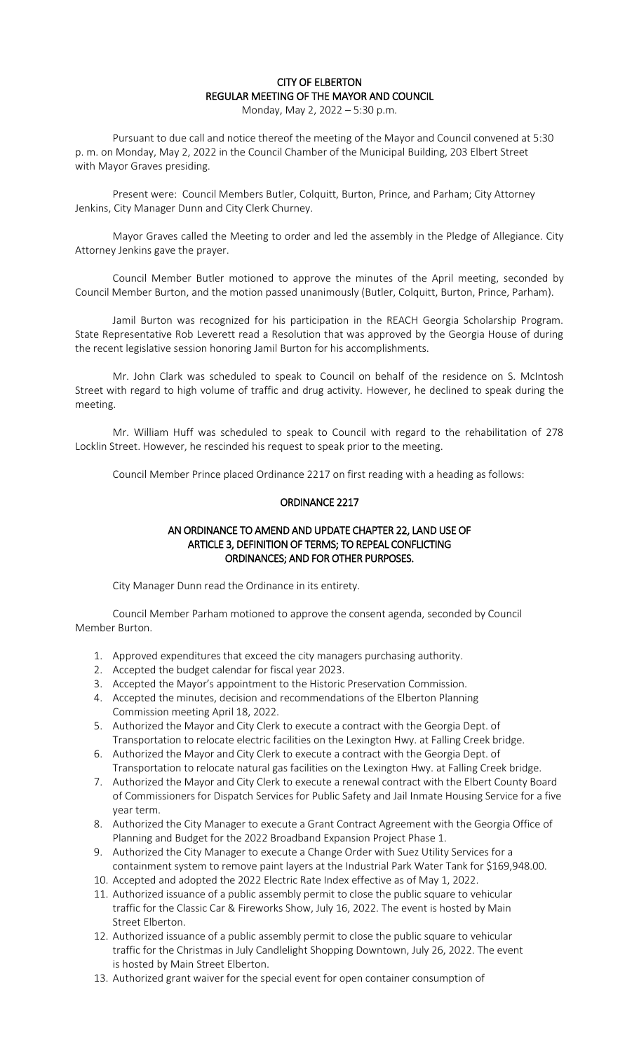## CITY OF ELBERTON REGULAR MEETING OF THE MAYOR AND COUNCIL

Monday, May 2, 2022 – 5:30 p.m.

Pursuant to due call and notice thereof the meeting of the Mayor and Council convened at 5:30 p. m. on Monday, May 2, 2022 in the Council Chamber of the Municipal Building, 203 Elbert Street with Mayor Graves presiding.

Present were: Council Members Butler, Colquitt, Burton, Prince, and Parham; City Attorney Jenkins, City Manager Dunn and City Clerk Churney.

Mayor Graves called the Meeting to order and led the assembly in the Pledge of Allegiance. City Attorney Jenkins gave the prayer.

Council Member Butler motioned to approve the minutes of the April meeting, seconded by Council Member Burton, and the motion passed unanimously (Butler, Colquitt, Burton, Prince, Parham).

Jamil Burton was recognized for his participation in the REACH Georgia Scholarship Program. State Representative Rob Leverett read a Resolution that was approved by the Georgia House of during the recent legislative session honoring Jamil Burton for his accomplishments.

Mr. John Clark was scheduled to speak to Council on behalf of the residence on S. McIntosh Street with regard to high volume of traffic and drug activity. However, he declined to speak during the meeting.

Mr. William Huff was scheduled to speak to Council with regard to the rehabilitation of 278 Locklin Street. However, he rescinded his request to speak prior to the meeting.

Council Member Prince placed Ordinance 2217 on first reading with a heading as follows:

#### ORDINANCE 2217

### AN ORDINANCE TO AMEND AND UPDATE CHAPTER 22, LAND USE OF ARTICLE 3, DEFINITION OF TERMS; TO REPEAL CONFLICTING ORDINANCES; AND FOR OTHER PURPOSES.

City Manager Dunn read the Ordinance in its entirety.

Council Member Parham motioned to approve the consent agenda, seconded by Council Member Burton.

- 1. Approved expenditures that exceed the city managers purchasing authority.
- 2. Accepted the budget calendar for fiscal year 2023.
- 3. Accepted the Mayor's appointment to the Historic Preservation Commission.
- 4. Accepted the minutes, decision and recommendations of the Elberton Planning Commission meeting April 18, 2022.
- 5. Authorized the Mayor and City Clerk to execute a contract with the Georgia Dept. of Transportation to relocate electric facilities on the Lexington Hwy. at Falling Creek bridge.
- 6. Authorized the Mayor and City Clerk to execute a contract with the Georgia Dept. of Transportation to relocate natural gas facilities on the Lexington Hwy. at Falling Creek bridge.
- 7. Authorized the Mayor and City Clerk to execute a renewal contract with the Elbert County Board of Commissioners for Dispatch Services for Public Safety and Jail Inmate Housing Service for a five year term.
- 8. Authorized the City Manager to execute a Grant Contract Agreement with the Georgia Office of Planning and Budget for the 2022 Broadband Expansion Project Phase 1.
- 9. Authorized the City Manager to execute a Change Order with Suez Utility Services for a containment system to remove paint layers at the Industrial Park Water Tank for \$169,948.00.
- 10. Accepted and adopted the 2022 Electric Rate Index effective as of May 1, 2022.
- 11. Authorized issuance of a public assembly permit to close the public square to vehicular traffic for the Classic Car & Fireworks Show, July 16, 2022. The event is hosted by Main Street Elberton.
- 12. Authorized issuance of a public assembly permit to close the public square to vehicular traffic for the Christmas in July Candlelight Shopping Downtown, July 26, 2022. The event is hosted by Main Street Elberton.
- 13. Authorized grant waiver for the special event for open container consumption of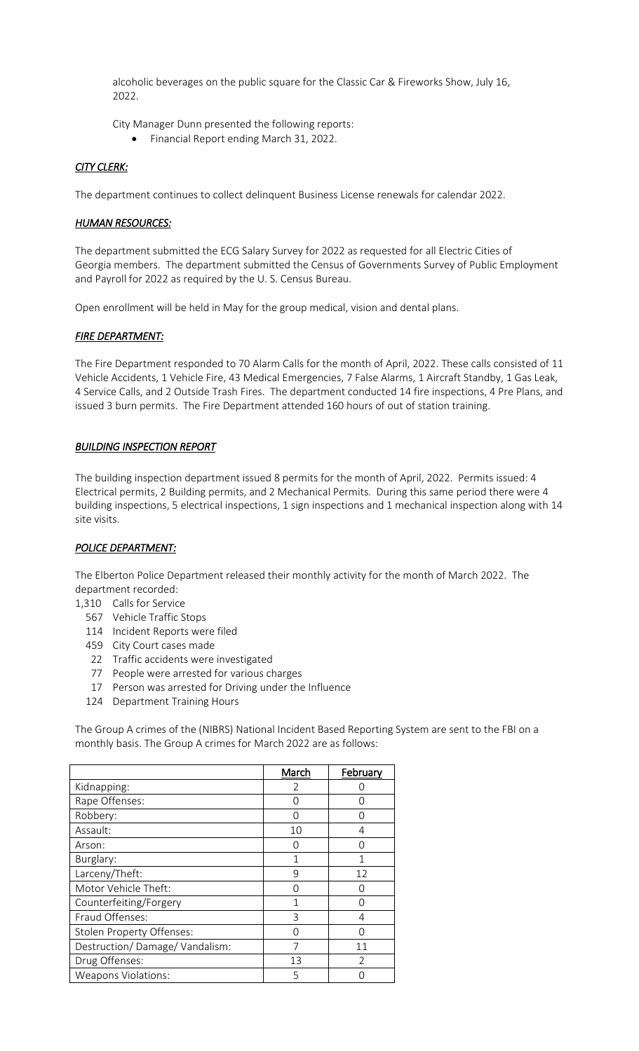alcoholic beverages on the public square for the Classic Car & Fireworks Show, July 16, 2022.

City Manager Dunn presented the following reports:

Financial Report ending March 31, 2022.

### *CITY CLERK:*

The department continues to collect delinquent Business License renewals for calendar 2022.

#### *HUMAN RESOURCES:*

The department submitted the ECG Salary Survey for 2022 as requested for all Electric Cities of Georgia members. The department submitted the Census of Governments Survey of Public Employment and Payroll for 2022 as required by the U. S. Census Bureau.

Open enrollment will be held in May for the group medical, vision and dental plans.

## *FIRE DEPARTMENT:*

The Fire Department responded to 70 Alarm Calls for the month of April, 2022. These calls consisted of 11 Vehicle Accidents, 1 Vehicle Fire, 43 Medical Emergencies, 7 False Alarms, 1 Aircraft Standby, 1 Gas Leak, 4 Service Calls, and 2 Outside Trash Fires. The department conducted 14 fire inspections, 4 Pre Plans, and issued 3 burn permits. The Fire Department attended 160 hours of out of station training.

### *BUILDING INSPECTION REPORT*

The building inspection department issued 8 permits for the month of April, 2022. Permits issued: 4 Electrical permits, 2 Building permits, and 2 Mechanical Permits. During this same period there were 4 building inspections, 5 electrical inspections, 1 sign inspections and 1 mechanical inspection along with 14 site visits.

### *POLICE DEPARTMENT:*

The Elberton Police Department released their monthly activity for the month of March 2022. The department recorded:

- 1,310 Calls for Service
	- 567 Vehicle Traffic Stops
	- 114 Incident Reports were filed
	- 459 City Court cases made
	- 22 Traffic accidents were investigated
	- 77 People were arrested for various charges
	- 17 Person was arrested for Driving under the Influence
	- 124 Department Training Hours

The Group A crimes of the (NIBRS) National Incident Based Reporting System are sent to the FBI on a monthly basis. The Group A crimes for March 2022 are as follows:

|                               | March          | February |
|-------------------------------|----------------|----------|
| Kidnapping:                   | $\overline{2}$ |          |
| Rape Offenses:                | Ω              |          |
| Robbery:                      | Ω              |          |
| Assault:                      | 10             | 4        |
| Arson:                        | 0              |          |
| Burglary:                     | 1              |          |
| Larceny/Theft:                | 9              | 12       |
| Motor Vehicle Theft:          | ∩              |          |
| Counterfeiting/Forgery        |                |          |
| Fraud Offenses:<br>3          |                | 4        |
| Stolen Property Offenses:     | Ω              |          |
| Destruction/Damage/Vandalism: | 7              | 11       |
| Drug Offenses:                | 13             | C        |
| <b>Weapons Violations:</b>    | 5              |          |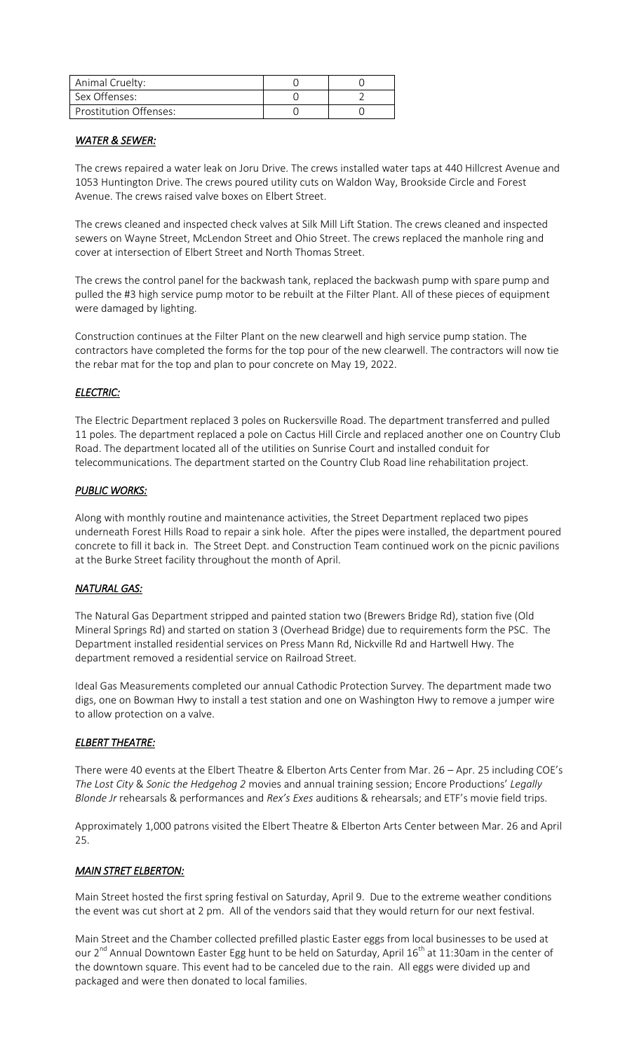| Animal Cruelty:        |  |
|------------------------|--|
| Sex Offenses:          |  |
| Prostitution Offenses: |  |

#### *WATER & SEWER:*

The crews repaired a water leak on Joru Drive. The crews installed water taps at 440 Hillcrest Avenue and 1053 Huntington Drive. The crews poured utility cuts on Waldon Way, Brookside Circle and Forest Avenue. The crews raised valve boxes on Elbert Street.

The crews cleaned and inspected check valves at Silk Mill Lift Station. The crews cleaned and inspected sewers on Wayne Street, McLendon Street and Ohio Street. The crews replaced the manhole ring and cover at intersection of Elbert Street and North Thomas Street.

The crews the control panel for the backwash tank, replaced the backwash pump with spare pump and pulled the #3 high service pump motor to be rebuilt at the Filter Plant. All of these pieces of equipment were damaged by lighting.

Construction continues at the Filter Plant on the new clearwell and high service pump station. The contractors have completed the forms for the top pour of the new clearwell. The contractors will now tie the rebar mat for the top and plan to pour concrete on May 19, 2022.

# *ELECTRIC:*

The Electric Department replaced 3 poles on Ruckersville Road. The department transferred and pulled 11 poles. The department replaced a pole on Cactus Hill Circle and replaced another one on Country Club Road. The department located all of the utilities on Sunrise Court and installed conduit for telecommunications. The department started on the Country Club Road line rehabilitation project.

## *PUBLIC WORKS:*

Along with monthly routine and maintenance activities, the Street Department replaced two pipes underneath Forest Hills Road to repair a sink hole. After the pipes were installed, the department poured concrete to fill it back in. The Street Dept. and Construction Team continued work on the picnic pavilions at the Burke Street facility throughout the month of April.

## *NATURAL GAS:*

The Natural Gas Department stripped and painted station two (Brewers Bridge Rd), station five (Old Mineral Springs Rd) and started on station 3 (Overhead Bridge) due to requirements form the PSC. The Department installed residential services on Press Mann Rd, Nickville Rd and Hartwell Hwy. The department removed a residential service on Railroad Street.

Ideal Gas Measurements completed our annual Cathodic Protection Survey. The department made two digs, one on Bowman Hwy to install a test station and one on Washington Hwy to remove a jumper wire to allow protection on a valve.

## *ELBERT THEATRE:*

There were 40 events at the Elbert Theatre & Elberton Arts Center from Mar. 26 – Apr. 25 including COE's *The Lost City* & *Sonic the Hedgehog 2* movies and annual training session; Encore Productions' *Legally Blonde Jr* rehearsals & performances and *Rex's Exes* auditions & rehearsals; and ETF's movie field trips.

Approximately 1,000 patrons visited the Elbert Theatre & Elberton Arts Center between Mar. 26 and April 25.

## *MAIN STRET ELBERTON:*

Main Street hosted the first spring festival on Saturday, April 9. Due to the extreme weather conditions the event was cut short at 2 pm. All of the vendors said that they would return for our next festival.

Main Street and the Chamber collected prefilled plastic Easter eggs from local businesses to be used at our 2<sup>nd</sup> Annual Downtown Easter Egg hunt to be held on Saturday, April 16<sup>th</sup> at 11:30am in the center of the downtown square. This event had to be canceled due to the rain. All eggs were divided up and packaged and were then donated to local families.